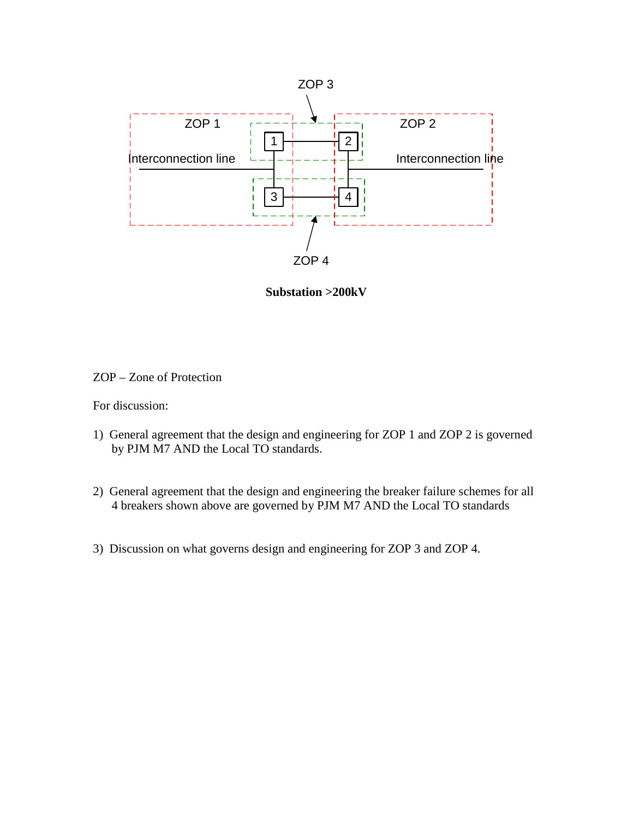

**Substation >200kV** 

## ZOP – Zone of Protection

For discussion:

- 1) General agreement that the design and engineering for ZOP 1 and ZOP 2 is governed by PJM M7 AND the Local TO standards.
- 2) General agreement that the design and engineering the breaker failure schemes for all 4 breakers shown above are governed by PJM M7 AND the Local TO standards
- 3) Discussion on what governs design and engineering for ZOP 3 and ZOP 4.